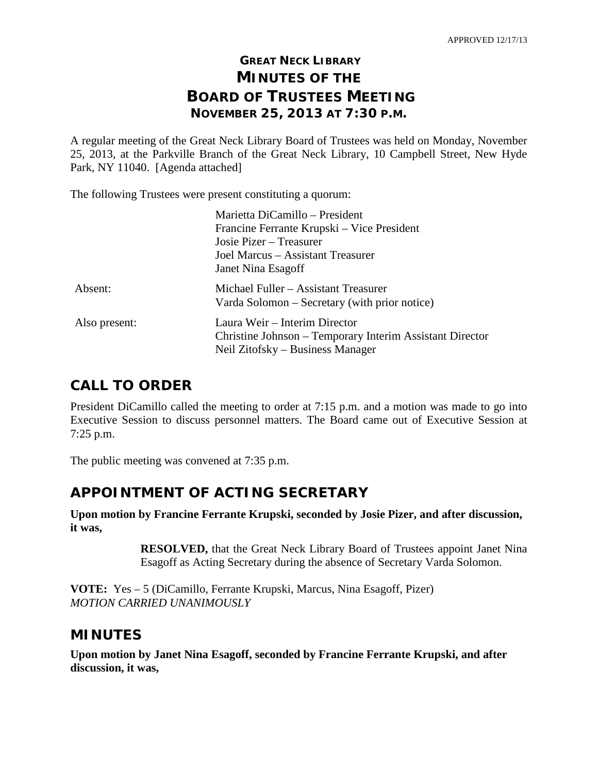# **GREAT NECK LIBRARY MINUTES OF THE BOARD OF TRUSTEES MEETING NOVEMBER 25, 2013 AT 7:30 P.M.**

A regular meeting of the Great Neck Library Board of Trustees was held on Monday, November 25, 2013, at the Parkville Branch of the Great Neck Library, 10 Campbell Street, New Hyde Park, NY 11040. [Agenda attached]

The following Trustees were present constituting a quorum:

| Marietta DiCamillo - President                                                                                                |
|-------------------------------------------------------------------------------------------------------------------------------|
| Francine Ferrante Krupski – Vice President                                                                                    |
| Josie Pizer – Treasurer                                                                                                       |
| Joel Marcus – Assistant Treasurer                                                                                             |
| Janet Nina Esagoff                                                                                                            |
| Michael Fuller – Assistant Treasurer<br>Varda Solomon – Secretary (with prior notice)                                         |
| Laura Weir – Interim Director<br>Christine Johnson - Temporary Interim Assistant Director<br>Neil Zitofsky – Business Manager |
|                                                                                                                               |

# **CALL TO ORDER**

President DiCamillo called the meeting to order at 7:15 p.m. and a motion was made to go into Executive Session to discuss personnel matters. The Board came out of Executive Session at 7:25 p.m.

The public meeting was convened at 7:35 p.m.

# **APPOINTMENT OF ACTING SECRETARY**

**Upon motion by Francine Ferrante Krupski, seconded by Josie Pizer, and after discussion, it was,**

> **RESOLVED,** that the Great Neck Library Board of Trustees appoint Janet Nina Esagoff as Acting Secretary during the absence of Secretary Varda Solomon.

**VOTE:** Yes – 5 (DiCamillo, Ferrante Krupski, Marcus, Nina Esagoff, Pizer) *MOTION CARRIED UNANIMOUSLY*

## **MINUTES**

**Upon motion by Janet Nina Esagoff, seconded by Francine Ferrante Krupski, and after discussion, it was,**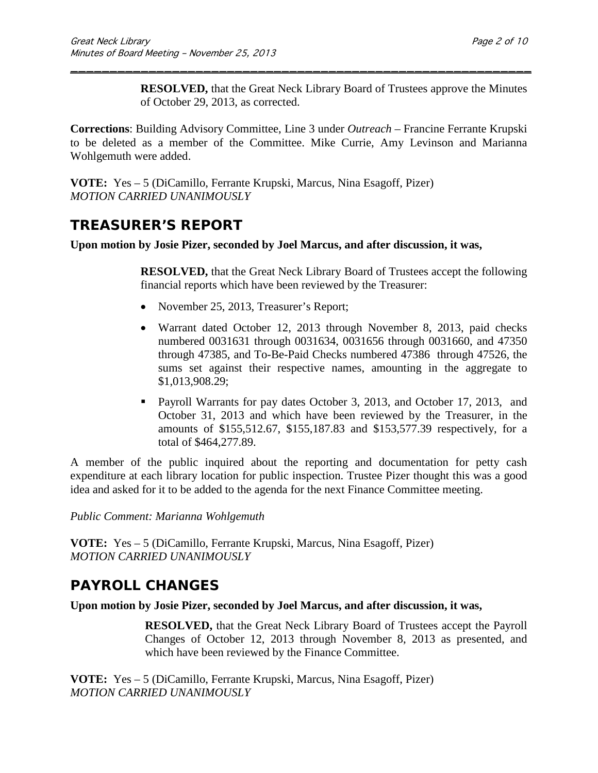**RESOLVED,** that the Great Neck Library Board of Trustees approve the Minutes of October 29, 2013, as corrected.

**Corrections**: Building Advisory Committee, Line 3 under *Outreach* – Francine Ferrante Krupski to be deleted as a member of the Committee. Mike Currie, Amy Levinson and Marianna Wohlgemuth were added.

\_\_\_\_\_\_\_\_\_\_\_\_\_\_\_\_\_\_\_\_\_\_\_\_\_\_\_\_\_\_\_\_\_\_\_\_\_\_\_\_\_\_\_\_\_\_\_\_\_\_\_\_\_\_\_\_\_\_\_

**VOTE:** Yes – 5 (DiCamillo, Ferrante Krupski, Marcus, Nina Esagoff, Pizer) *MOTION CARRIED UNANIMOUSLY*

# **TREASURER'S REPORT**

**Upon motion by Josie Pizer, seconded by Joel Marcus, and after discussion, it was,**

**RESOLVED,** that the Great Neck Library Board of Trustees accept the following financial reports which have been reviewed by the Treasurer:

- November 25, 2013, Treasurer's Report;
- Warrant dated October 12, 2013 through November 8, 2013, paid checks numbered 0031631 through 0031634, 0031656 through 0031660, and 47350 through 47385, and To-Be-Paid Checks numbered 47386 through 47526, the sums set against their respective names, amounting in the aggregate to \$1,013,908.29;
- **Payroll Warrants for pay dates October 3, 2013, and October 17, 2013, and** October 31, 2013 and which have been reviewed by the Treasurer, in the amounts of \$155,512.67, \$155,187.83 and \$153,577.39 respectively, for a total of \$464,277.89.

A member of the public inquired about the reporting and documentation for petty cash expenditure at each library location for public inspection. Trustee Pizer thought this was a good idea and asked for it to be added to the agenda for the next Finance Committee meeting.

*Public Comment: Marianna Wohlgemuth*

**VOTE:** Yes – 5 (DiCamillo, Ferrante Krupski, Marcus, Nina Esagoff, Pizer) *MOTION CARRIED UNANIMOUSLY*

# **PAYROLL CHANGES**

**Upon motion by Josie Pizer, seconded by Joel Marcus, and after discussion, it was,**

**RESOLVED,** that the Great Neck Library Board of Trustees accept the Payroll Changes of October 12, 2013 through November 8, 2013 as presented, and which have been reviewed by the Finance Committee.

**VOTE:** Yes – 5 (DiCamillo, Ferrante Krupski, Marcus, Nina Esagoff, Pizer) *MOTION CARRIED UNANIMOUSLY*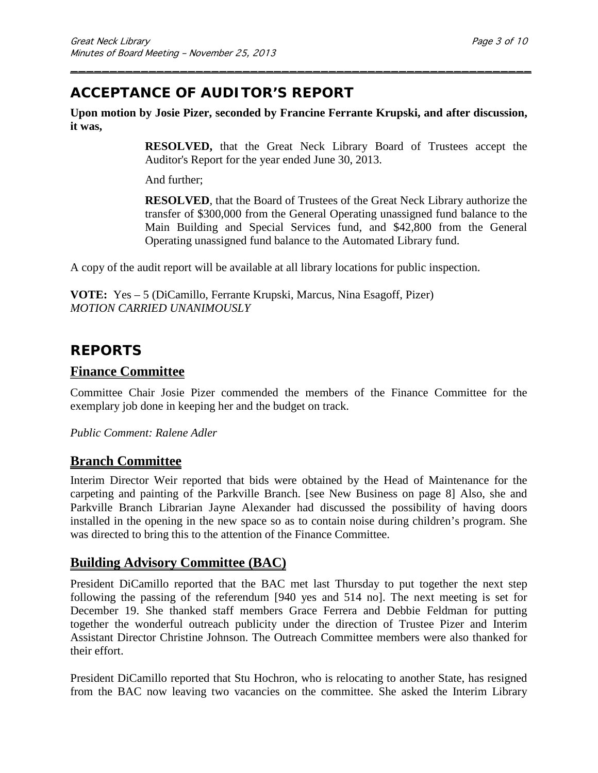# **ACCEPTANCE OF AUDITOR'S REPORT**

**Upon motion by Josie Pizer, seconded by Francine Ferrante Krupski, and after discussion, it was,**

\_\_\_\_\_\_\_\_\_\_\_\_\_\_\_\_\_\_\_\_\_\_\_\_\_\_\_\_\_\_\_\_\_\_\_\_\_\_\_\_\_\_\_\_\_\_\_\_\_\_\_\_\_\_\_\_\_\_\_

**RESOLVED,** that the Great Neck Library Board of Trustees accept the Auditor's Report for the year ended June 30, 2013.

And further;

**RESOLVED**, that the Board of Trustees of the Great Neck Library authorize the transfer of \$300,000 from the General Operating unassigned fund balance to the Main Building and Special Services fund, and \$42,800 from the General Operating unassigned fund balance to the Automated Library fund.

A copy of the audit report will be available at all library locations for public inspection.

**VOTE:** Yes – 5 (DiCamillo, Ferrante Krupski, Marcus, Nina Esagoff, Pizer) *MOTION CARRIED UNANIMOUSLY*

# **REPORTS**

### **Finance Committee**

Committee Chair Josie Pizer commended the members of the Finance Committee for the exemplary job done in keeping her and the budget on track.

*Public Comment: Ralene Adler*

### **Branch Committee**

Interim Director Weir reported that bids were obtained by the Head of Maintenance for the carpeting and painting of the Parkville Branch. [see New Business on page 8] Also, she and Parkville Branch Librarian Jayne Alexander had discussed the possibility of having doors installed in the opening in the new space so as to contain noise during children's program. She was directed to bring this to the attention of the Finance Committee.

## **Building Advisory Committee (BAC)**

President DiCamillo reported that the BAC met last Thursday to put together the next step following the passing of the referendum [940 yes and 514 no]. The next meeting is set for December 19. She thanked staff members Grace Ferrera and Debbie Feldman for putting together the wonderful outreach publicity under the direction of Trustee Pizer and Interim Assistant Director Christine Johnson. The Outreach Committee members were also thanked for their effort.

President DiCamillo reported that Stu Hochron, who is relocating to another State, has resigned from the BAC now leaving two vacancies on the committee. She asked the Interim Library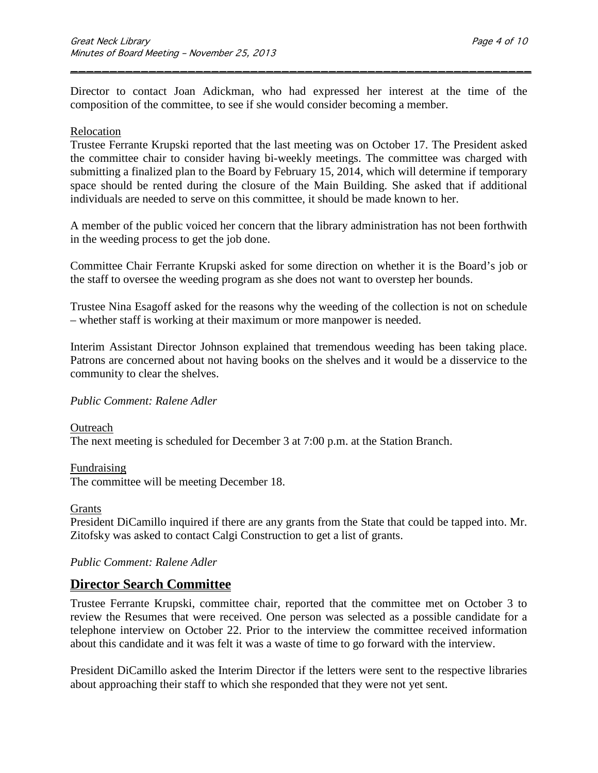Director to contact Joan Adickman, who had expressed her interest at the time of the composition of the committee, to see if she would consider becoming a member.

\_\_\_\_\_\_\_\_\_\_\_\_\_\_\_\_\_\_\_\_\_\_\_\_\_\_\_\_\_\_\_\_\_\_\_\_\_\_\_\_\_\_\_\_\_\_\_\_\_\_\_\_\_\_\_\_\_\_\_

### Relocation

Trustee Ferrante Krupski reported that the last meeting was on October 17. The President asked the committee chair to consider having bi-weekly meetings. The committee was charged with submitting a finalized plan to the Board by February 15, 2014, which will determine if temporary space should be rented during the closure of the Main Building. She asked that if additional individuals are needed to serve on this committee, it should be made known to her.

A member of the public voiced her concern that the library administration has not been forthwith in the weeding process to get the job done.

Committee Chair Ferrante Krupski asked for some direction on whether it is the Board's job or the staff to oversee the weeding program as she does not want to overstep her bounds.

Trustee Nina Esagoff asked for the reasons why the weeding of the collection is not on schedule – whether staff is working at their maximum or more manpower is needed.

Interim Assistant Director Johnson explained that tremendous weeding has been taking place. Patrons are concerned about not having books on the shelves and it would be a disservice to the community to clear the shelves.

### *Public Comment: Ralene Adler*

Outreach The next meeting is scheduled for December 3 at 7:00 p.m. at the Station Branch.

Fundraising The committee will be meeting December 18.

Grants

President DiCamillo inquired if there are any grants from the State that could be tapped into. Mr. Zitofsky was asked to contact Calgi Construction to get a list of grants.

### *Public Comment: Ralene Adler*

### **Director Search Committee**

Trustee Ferrante Krupski, committee chair, reported that the committee met on October 3 to review the Resumes that were received. One person was selected as a possible candidate for a telephone interview on October 22. Prior to the interview the committee received information about this candidate and it was felt it was a waste of time to go forward with the interview.

President DiCamillo asked the Interim Director if the letters were sent to the respective libraries about approaching their staff to which she responded that they were not yet sent.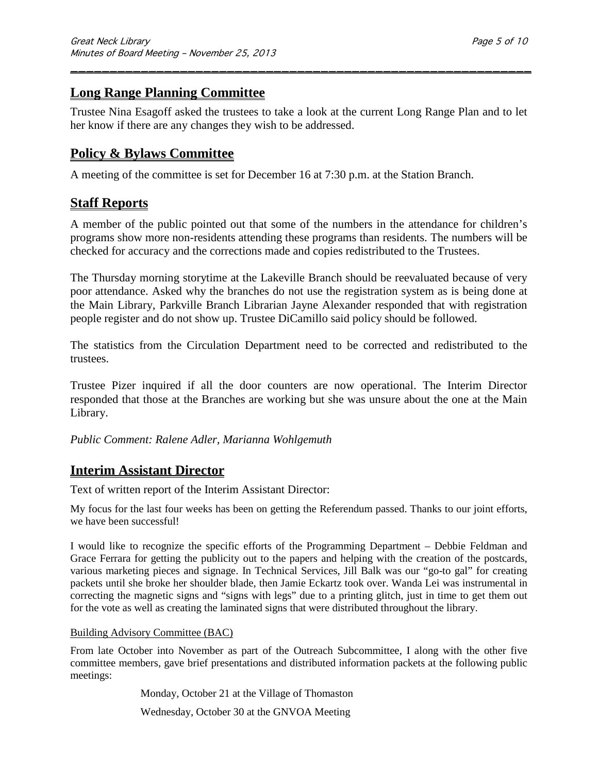# **Long Range Planning Committee**

Trustee Nina Esagoff asked the trustees to take a look at the current Long Range Plan and to let her know if there are any changes they wish to be addressed.

\_\_\_\_\_\_\_\_\_\_\_\_\_\_\_\_\_\_\_\_\_\_\_\_\_\_\_\_\_\_\_\_\_\_\_\_\_\_\_\_\_\_\_\_\_\_\_\_\_\_\_\_\_\_\_\_\_\_\_

## **Policy & Bylaws Committee**

A meeting of the committee is set for December 16 at 7:30 p.m. at the Station Branch.

## **Staff Reports**

A member of the public pointed out that some of the numbers in the attendance for children's programs show more non-residents attending these programs than residents. The numbers will be checked for accuracy and the corrections made and copies redistributed to the Trustees.

The Thursday morning storytime at the Lakeville Branch should be reevaluated because of very poor attendance. Asked why the branches do not use the registration system as is being done at the Main Library, Parkville Branch Librarian Jayne Alexander responded that with registration people register and do not show up. Trustee DiCamillo said policy should be followed.

The statistics from the Circulation Department need to be corrected and redistributed to the trustees.

Trustee Pizer inquired if all the door counters are now operational. The Interim Director responded that those at the Branches are working but she was unsure about the one at the Main Library.

*Public Comment: Ralene Adler, Marianna Wohlgemuth*

## **Interim Assistant Director**

Text of written report of the Interim Assistant Director:

My focus for the last four weeks has been on getting the Referendum passed. Thanks to our joint efforts, we have been successful!

I would like to recognize the specific efforts of the Programming Department – Debbie Feldman and Grace Ferrara for getting the publicity out to the papers and helping with the creation of the postcards, various marketing pieces and signage. In Technical Services, Jill Balk was our "go-to gal" for creating packets until she broke her shoulder blade, then Jamie Eckartz took over. Wanda Lei was instrumental in correcting the magnetic signs and "signs with legs" due to a printing glitch, just in time to get them out for the vote as well as creating the laminated signs that were distributed throughout the library.

### Building Advisory Committee (BAC)

From late October into November as part of the Outreach Subcommittee, I along with the other five committee members, gave brief presentations and distributed information packets at the following public meetings:

Monday, October 21 at the Village of Thomaston

Wednesday, October 30 at the GNVOA Meeting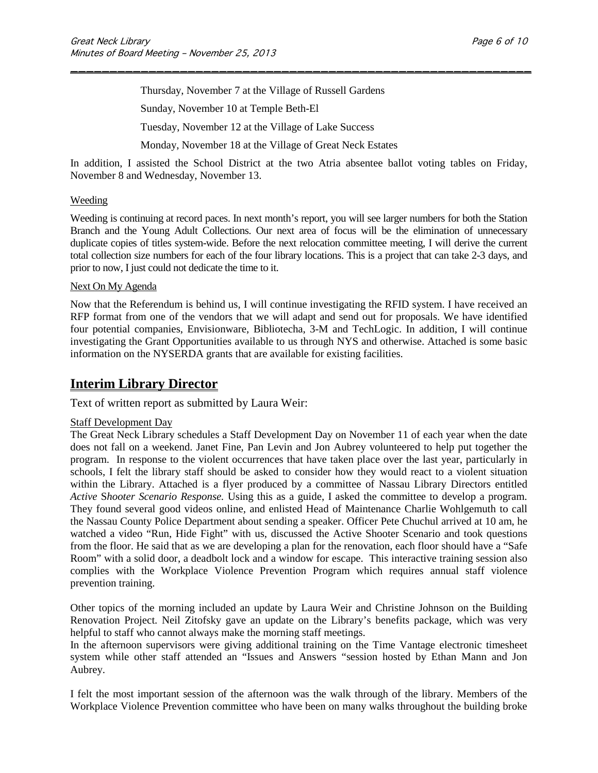Thursday, November 7 at the Village of Russell Gardens

Sunday, November 10 at Temple Beth-El

Tuesday, November 12 at the Village of Lake Success

Monday, November 18 at the Village of Great Neck Estates

In addition, I assisted the School District at the two Atria absentee ballot voting tables on Friday, November 8 and Wednesday, November 13.

\_\_\_\_\_\_\_\_\_\_\_\_\_\_\_\_\_\_\_\_\_\_\_\_\_\_\_\_\_\_\_\_\_\_\_\_\_\_\_\_\_\_\_\_\_\_\_\_\_\_\_\_\_\_\_\_\_\_\_

#### Weeding

Weeding is continuing at record paces. In next month's report, you will see larger numbers for both the Station Branch and the Young Adult Collections. Our next area of focus will be the elimination of unnecessary duplicate copies of titles system-wide. Before the next relocation committee meeting, I will derive the current total collection size numbers for each of the four library locations. This is a project that can take 2-3 days, and prior to now, I just could not dedicate the time to it.

#### Next On My Agenda

Now that the Referendum is behind us, I will continue investigating the RFID system. I have received an RFP format from one of the vendors that we will adapt and send out for proposals. We have identified four potential companies, Envisionware, Bibliotecha, 3-M and TechLogic. In addition, I will continue investigating the Grant Opportunities available to us through NYS and otherwise. Attached is some basic information on the NYSERDA grants that are available for existing facilities.

## **Interim Library Director**

Text of written report as submitted by Laura Weir:

#### Staff Development Day

The Great Neck Library schedules a Staff Development Day on November 11 of each year when the date does not fall on a weekend. Janet Fine, Pan Levin and Jon Aubrey volunteered to help put together the program. In response to the violent occurrences that have taken place over the last year, particularly in schools, I felt the library staff should be asked to consider how they would react to a violent situation within the Library. Attached is a flyer produced by a committee of Nassau Library Directors entitled *Active* S*hooter Scenario Response.* Using this as a guide, I asked the committee to develop a program. They found several good videos online, and enlisted Head of Maintenance Charlie Wohlgemuth to call the Nassau County Police Department about sending a speaker. Officer Pete Chuchul arrived at 10 am, he watched a video "Run, Hide Fight" with us, discussed the Active Shooter Scenario and took questions from the floor. He said that as we are developing a plan for the renovation, each floor should have a "Safe Room" with a solid door, a deadbolt lock and a window for escape. This interactive training session also complies with the Workplace Violence Prevention Program which requires annual staff violence prevention training.

Other topics of the morning included an update by Laura Weir and Christine Johnson on the Building Renovation Project. Neil Zitofsky gave an update on the Library's benefits package, which was very helpful to staff who cannot always make the morning staff meetings.

In the afternoon supervisors were giving additional training on the Time Vantage electronic timesheet system while other staff attended an "Issues and Answers "session hosted by Ethan Mann and Jon Aubrey.

I felt the most important session of the afternoon was the walk through of the library. Members of the Workplace Violence Prevention committee who have been on many walks throughout the building broke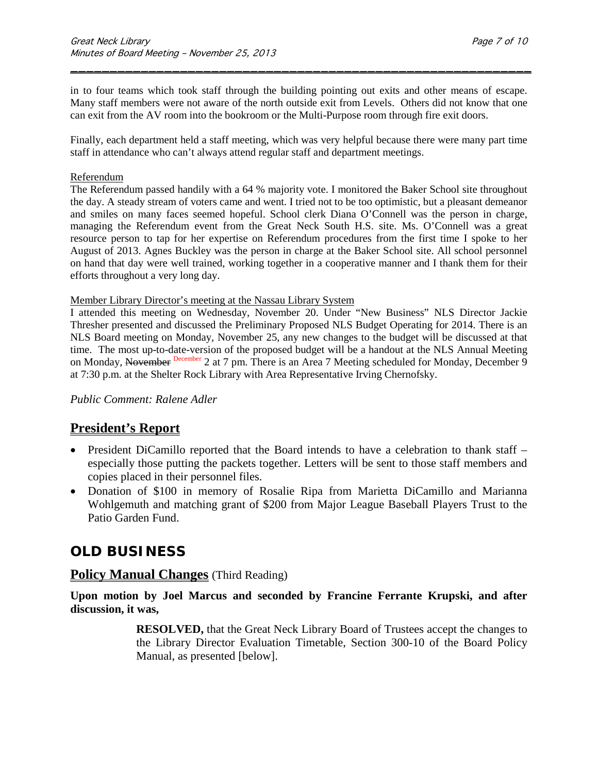in to four teams which took staff through the building pointing out exits and other means of escape. Many staff members were not aware of the north outside exit from Levels. Others did not know that one can exit from the AV room into the bookroom or the Multi-Purpose room through fire exit doors.

\_\_\_\_\_\_\_\_\_\_\_\_\_\_\_\_\_\_\_\_\_\_\_\_\_\_\_\_\_\_\_\_\_\_\_\_\_\_\_\_\_\_\_\_\_\_\_\_\_\_\_\_\_\_\_\_\_\_\_

Finally, each department held a staff meeting, which was very helpful because there were many part time staff in attendance who can't always attend regular staff and department meetings.

#### Referendum

The Referendum passed handily with a 64 % majority vote. I monitored the Baker School site throughout the day. A steady stream of voters came and went. I tried not to be too optimistic, but a pleasant demeanor and smiles on many faces seemed hopeful. School clerk Diana O'Connell was the person in charge, managing the Referendum event from the Great Neck South H.S. site. Ms. O'Connell was a great resource person to tap for her expertise on Referendum procedures from the first time I spoke to her August of 2013. Agnes Buckley was the person in charge at the Baker School site. All school personnel on hand that day were well trained, working together in a cooperative manner and I thank them for their efforts throughout a very long day.

#### Member Library Director's meeting at the Nassau Library System

I attended this meeting on Wednesday, November 20. Under "New Business" NLS Director Jackie Thresher presented and discussed the Preliminary Proposed NLS Budget Operating for 2014. There is an NLS Board meeting on Monday, November 25, any new changes to the budget will be discussed at that time. The most up-to-date-version of the proposed budget will be a handout at the NLS Annual Meeting on Monday, November December 2 at 7 pm. There is an Area 7 Meeting scheduled for Monday, December 9 at 7:30 p.m. at the Shelter Rock Library with Area Representative Irving Chernofsky.

*Public Comment: Ralene Adler*

## **President's Report**

- President DiCamillo reported that the Board intends to have a celebration to thank staff especially those putting the packets together. Letters will be sent to those staff members and copies placed in their personnel files.
- Donation of \$100 in memory of Rosalie Ripa from Marietta DiCamillo and Marianna Wohlgemuth and matching grant of \$200 from Major League Baseball Players Trust to the Patio Garden Fund.

# **OLD BUSINESS**

### **Policy Manual Changes** (Third Reading)

**Upon motion by Joel Marcus and seconded by Francine Ferrante Krupski, and after discussion, it was,**

> **RESOLVED,** that the Great Neck Library Board of Trustees accept the changes to the Library Director Evaluation Timetable, Section 300-10 of the Board Policy Manual, as presented [below].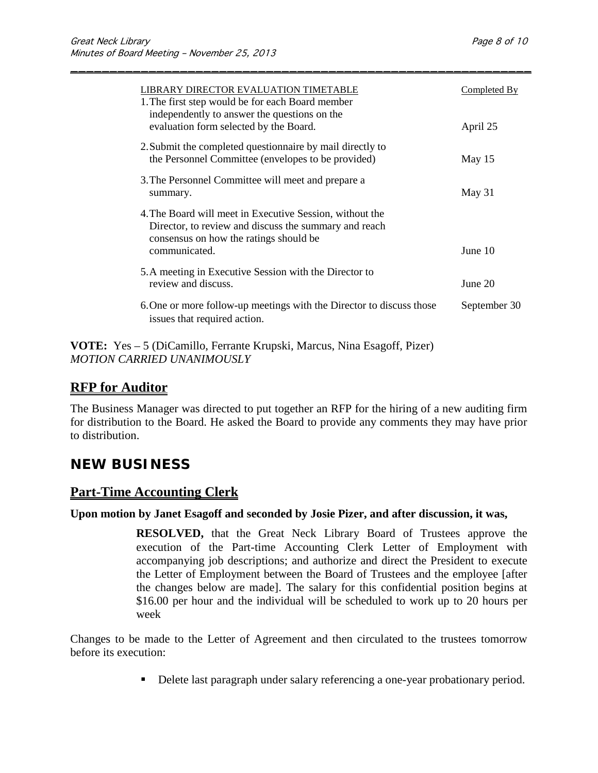| 1. The first step would be for each Board member<br>independently to answer the questions on the                                                            |  |
|-------------------------------------------------------------------------------------------------------------------------------------------------------------|--|
| evaluation form selected by the Board.<br>April 25                                                                                                          |  |
| 2. Submit the completed questionnaire by mail directly to<br>the Personnel Committee (envelopes to be provided)<br>May 15                                   |  |
| 3. The Personnel Committee will meet and prepare a<br>May 31<br>summary.                                                                                    |  |
| 4. The Board will meet in Executive Session, without the<br>Director, to review and discuss the summary and reach<br>consensus on how the ratings should be |  |
| communicated.<br>June $10$                                                                                                                                  |  |
| 5. A meeting in Executive Session with the Director to<br>review and discuss.<br>June $20$                                                                  |  |
| 6. One or more follow-up meetings with the Director to discuss those<br>September 30<br>issues that required action.                                        |  |

\_\_\_\_\_\_\_\_\_\_\_\_\_\_\_\_\_\_\_\_\_\_\_\_\_\_\_\_\_\_\_\_\_\_\_\_\_\_\_\_\_\_\_\_\_\_\_\_\_\_\_\_\_\_\_\_\_\_\_

**VOTE:** Yes – 5 (DiCamillo, Ferrante Krupski, Marcus, Nina Esagoff, Pizer) *MOTION CARRIED UNANIMOUSLY*

## **RFP for Auditor**

The Business Manager was directed to put together an RFP for the hiring of a new auditing firm for distribution to the Board. He asked the Board to provide any comments they may have prior to distribution.

# **NEW BUSINESS**

## **Part-Time Accounting Clerk**

### **Upon motion by Janet Esagoff and seconded by Josie Pizer, and after discussion, it was,**

**RESOLVED,** that the Great Neck Library Board of Trustees approve the execution of the Part-time Accounting Clerk Letter of Employment with accompanying job descriptions; and authorize and direct the President to execute the Letter of Employment between the Board of Trustees and the employee [after the changes below are made]. The salary for this confidential position begins at \$16.00 per hour and the individual will be scheduled to work up to 20 hours per week

Changes to be made to the Letter of Agreement and then circulated to the trustees tomorrow before its execution:

Delete last paragraph under salary referencing a one-year probationary period.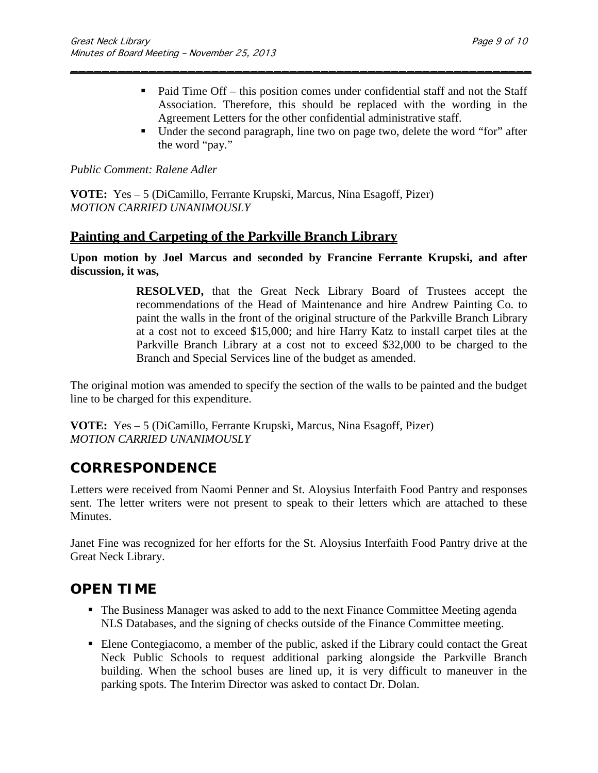- Paid Time Off this position comes under confidential staff and not the Staff Association. Therefore, this should be replaced with the wording in the Agreement Letters for the other confidential administrative staff.
- Under the second paragraph, line two on page two, delete the word "for" after the word "pay."

*Public Comment: Ralene Adler*

**VOTE:** Yes – 5 (DiCamillo, Ferrante Krupski, Marcus, Nina Esagoff, Pizer) *MOTION CARRIED UNANIMOUSLY*

### **Painting and Carpeting of the Parkville Branch Library**

**Upon motion by Joel Marcus and seconded by Francine Ferrante Krupski, and after discussion, it was,**

\_\_\_\_\_\_\_\_\_\_\_\_\_\_\_\_\_\_\_\_\_\_\_\_\_\_\_\_\_\_\_\_\_\_\_\_\_\_\_\_\_\_\_\_\_\_\_\_\_\_\_\_\_\_\_\_\_\_\_

**RESOLVED,** that the Great Neck Library Board of Trustees accept the recommendations of the Head of Maintenance and hire Andrew Painting Co. to paint the walls in the front of the original structure of the Parkville Branch Library at a cost not to exceed \$15,000; and hire Harry Katz to install carpet tiles at the Parkville Branch Library at a cost not to exceed \$32,000 to be charged to the Branch and Special Services line of the budget as amended.

The original motion was amended to specify the section of the walls to be painted and the budget line to be charged for this expenditure.

**VOTE:** Yes – 5 (DiCamillo, Ferrante Krupski, Marcus, Nina Esagoff, Pizer) *MOTION CARRIED UNANIMOUSLY*

# **CORRESPONDENCE**

Letters were received from Naomi Penner and St. Aloysius Interfaith Food Pantry and responses sent. The letter writers were not present to speak to their letters which are attached to these Minutes.

Janet Fine was recognized for her efforts for the St. Aloysius Interfaith Food Pantry drive at the Great Neck Library.

## **OPEN TIME**

- The Business Manager was asked to add to the next Finance Committee Meeting agenda NLS Databases, and the signing of checks outside of the Finance Committee meeting.
- Elene Contegiacomo, a member of the public, asked if the Library could contact the Great Neck Public Schools to request additional parking alongside the Parkville Branch building. When the school buses are lined up, it is very difficult to maneuver in the parking spots. The Interim Director was asked to contact Dr. Dolan.